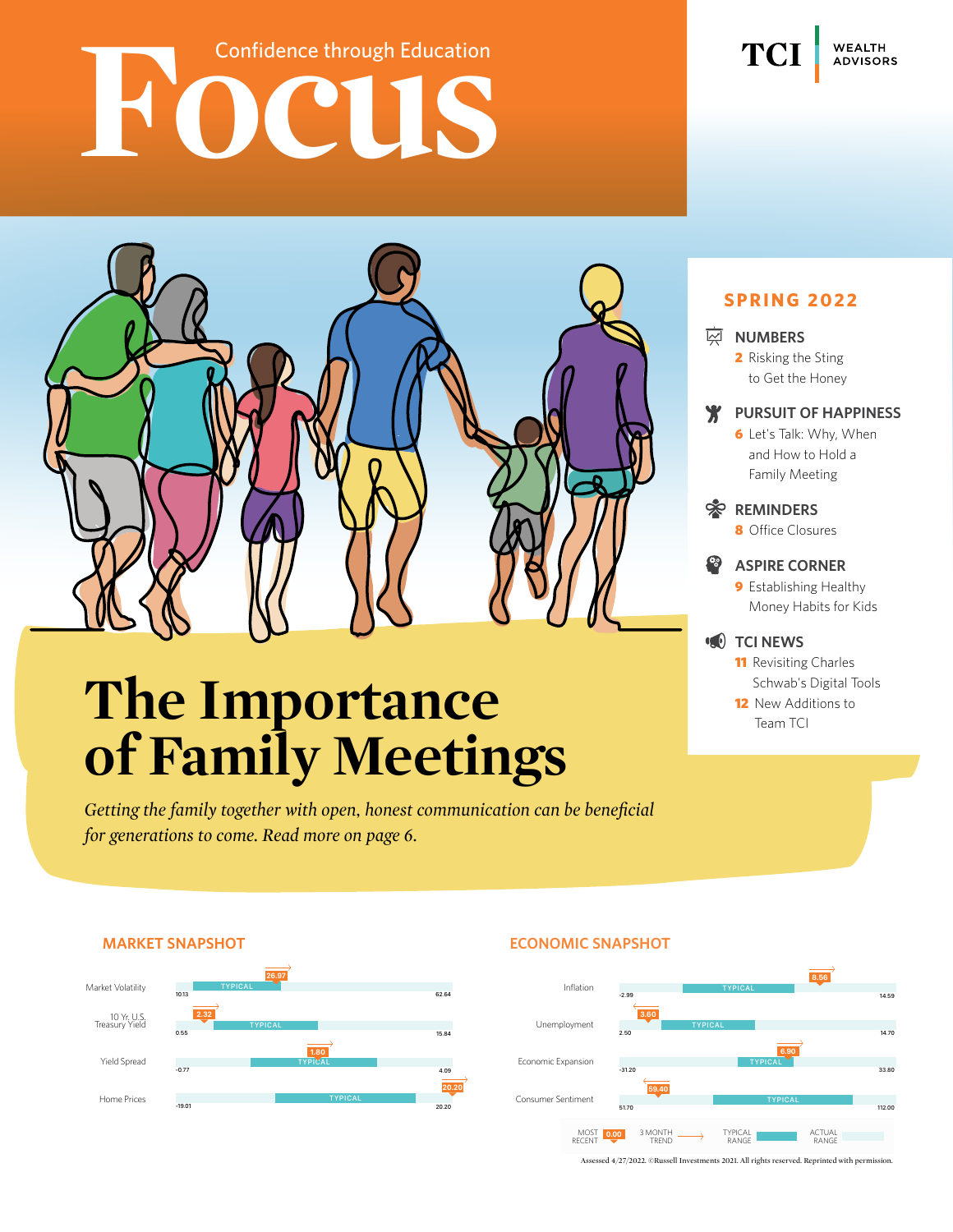# **Fourier Confidence through Education**



### **The Importance of Family Meetings**

*Getting the family together with open, honest communication can be beneficial for generations to come. Read more on page 6.*

### **Spring 2022**

#### **M**<br>MUMBERS

TC.

**WEALTH ADVISORS** 

 2 Risking the Sting to Get the Honey

#### **Pursuit of Happiness**

**6** Let's Talk: Why, When and How to Hold a Family Meeting

#### *<b>REMINDERS*

8 Office Closures

#### **Aspire Corner**

**9** Establishing Healthy Money Habits for Kids

#### **TCI NEWS**

**11** Revisiting Charles Schwab's Digital Tools **12** New Additions to

Team TCI



#### **Market Snapshot Economic Snapshot**



Assessed 4/27/2022. ©Russell Investments 2021. All rights reserved. Reprinted with permission.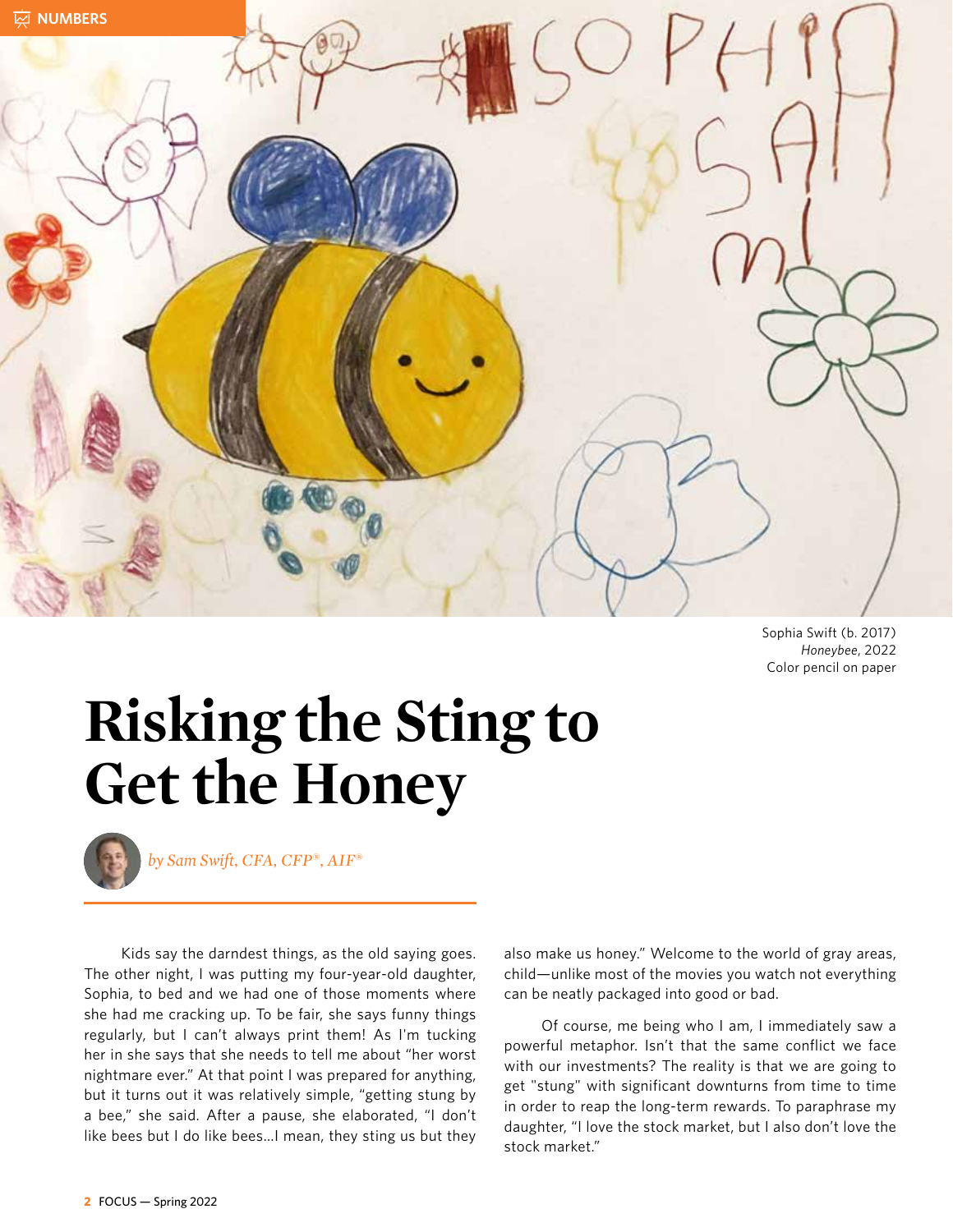

Sophia Swift (b. 2017) *Honeybee*, 2022 Color pencil on paper

### **Risking the Sting to Get the Honey**



*by Sam Swift, CFA, CFP‰, AIF‰*

Kids say the darndest things, as the old saying goes. The other night, I was putting my four-year-old daughter, Sophia, to bed and we had one of those moments where she had me cracking up. To be fair, she says funny things regularly, but I can't always print them! As I'm tucking her in she says that she needs to tell me about "her worst nightmare ever." At that point I was prepared for anything, but it turns out it was relatively simple, "getting stung by a bee," she said. After a pause, she elaborated, "I don't like bees but I do like bees…I mean, they sting us but they

also make us honey." Welcome to the world of gray areas, child—unlike most of the movies you watch not everything can be neatly packaged into good or bad.

Of course, me being who I am, I immediately saw a powerful metaphor. Isn't that the same conflict we face with our investments? The reality is that we are going to get "stung" with significant downturns from time to time in order to reap the long-term rewards. To paraphrase my daughter, "I love the stock market, but I also don't love the stock market."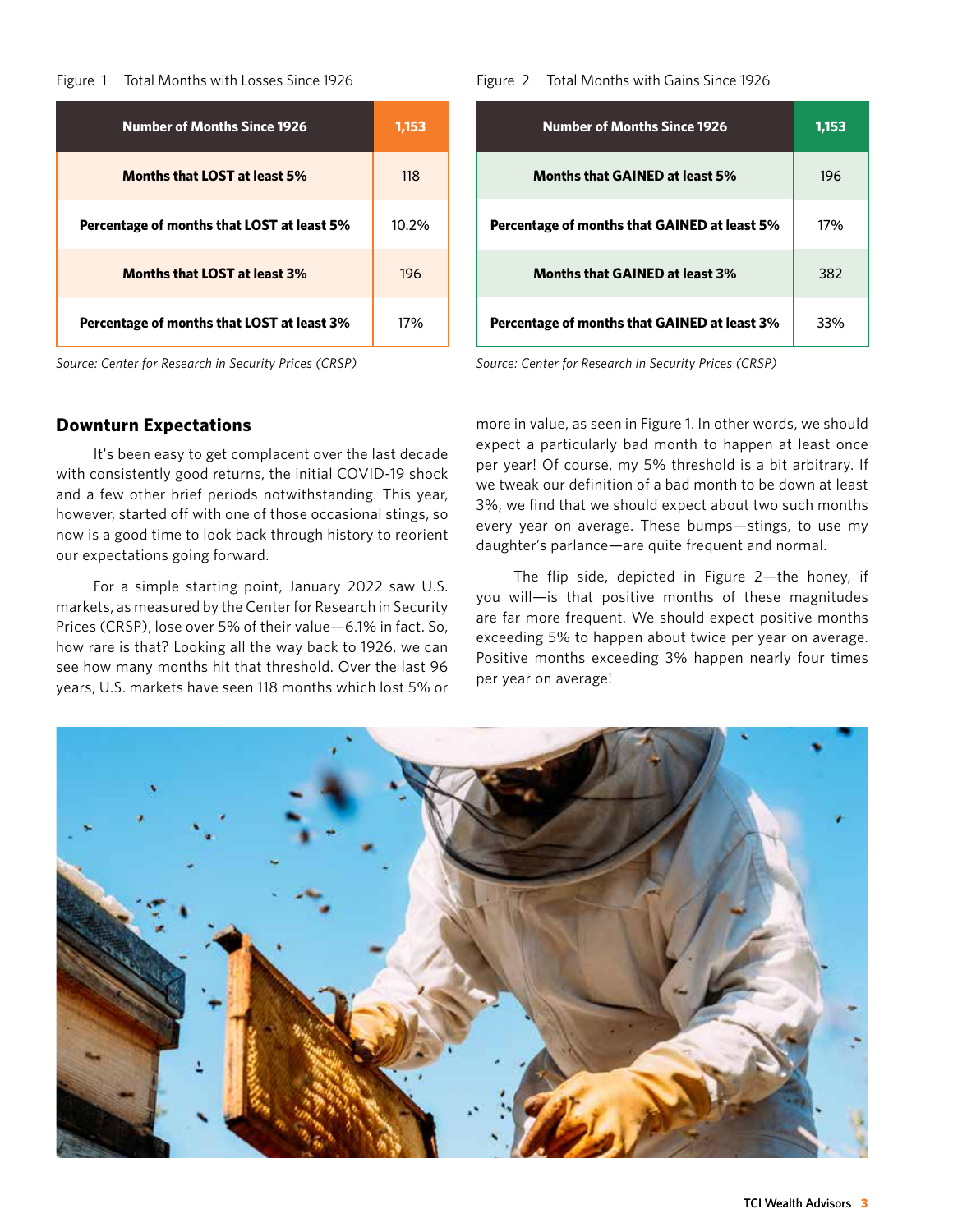#### Figure 1 Total Months with Losses Since 1926

| <b>Number of Months Since 1926</b>         | 1,153 |
|--------------------------------------------|-------|
| <b>Months that LOST at least 5%</b>        | 118   |
| Percentage of months that LOST at least 5% | 10.2% |
| <b>Months that LOST at least 3%</b>        | 196   |
| Percentage of months that LOST at least 3% | 17%   |

#### **Downturn Expectations**

It's been easy to get complacent over the last decade with consistently good returns, the initial COVID-19 shock and a few other brief periods notwithstanding. This year, however, started off with one of those occasional stings, so now is a good time to look back through history to reorient our expectations going forward.

For a simple starting point, January 2022 saw U.S. markets, as measured by the Center for Research in Security Prices (CRSP), lose over 5% of their value—6.1% in fact. So, how rare is that? Looking all the way back to 1926, we can see how many months hit that threshold. Over the last 96 years, U.S. markets have seen 118 months which lost 5% or

Figure 2 Total Months with Gains Since 1926

| <b>Number of Months Since 1926</b>           | 1,153 |
|----------------------------------------------|-------|
| <b>Months that GAINED at least 5%</b>        | 196   |
| Percentage of months that GAINED at least 5% | 17%   |
| <b>Months that GAINED at least 3%</b>        | 382   |
| Percentage of months that GAINED at least 3% | 33%   |

*Source: Center for Research in Security Prices (CRSP) Source: Center for Research in Security Prices (CRSP)*

more in value, as seen in Figure 1. In other words, we should expect a particularly bad month to happen at least once per year! Of course, my 5% threshold is a bit arbitrary. If we tweak our definition of a bad month to be down at least 3%, we find that we should expect about two such months every year on average. These bumps—stings, to use my daughter's parlance—are quite frequent and normal.

The flip side, depicted in Figure 2—the honey, if you will—is that positive months of these magnitudes are far more frequent. We should expect positive months exceeding 5% to happen about twice per year on average. Positive months exceeding 3% happen nearly four times per year on average!

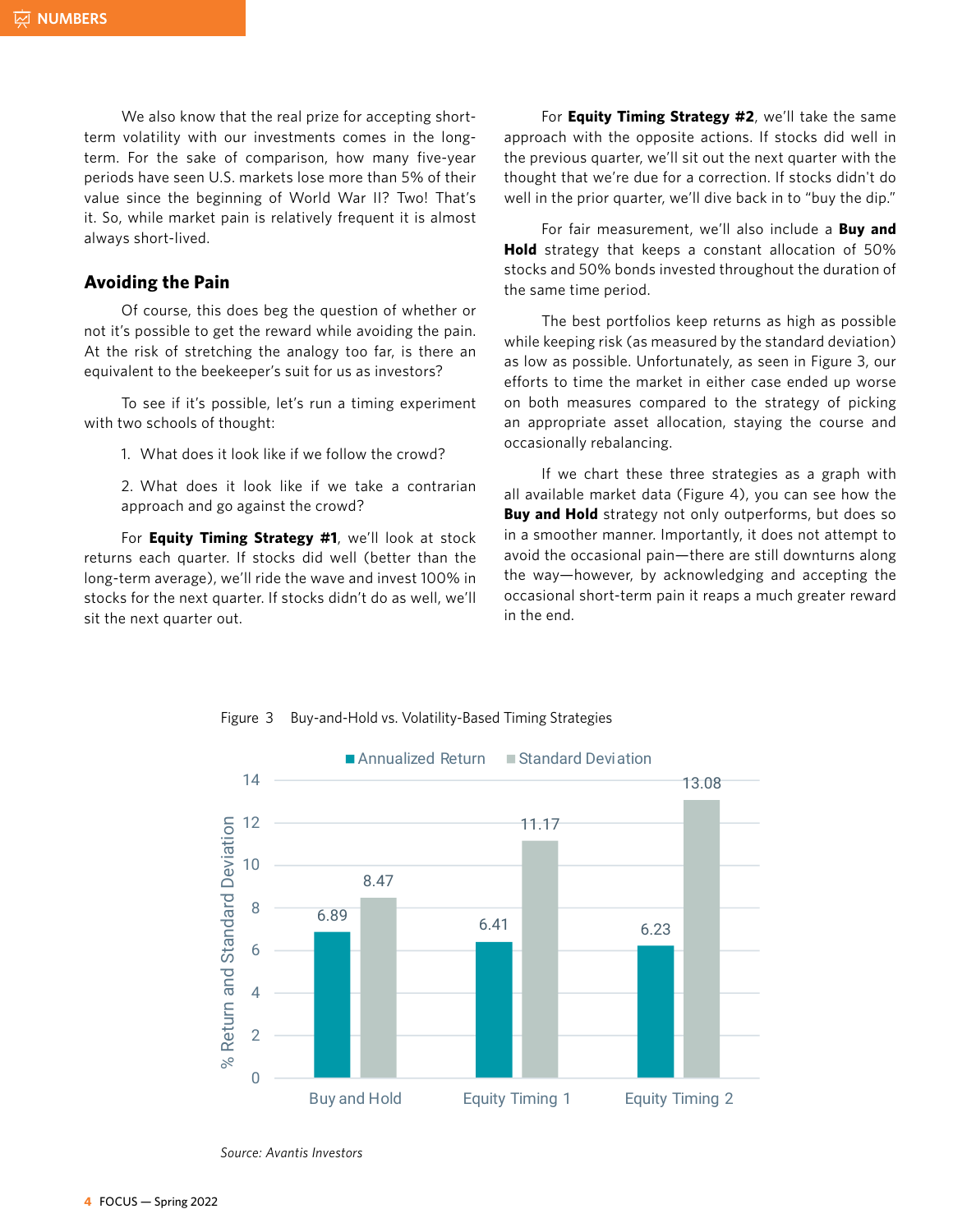We also know that the real prize for accepting shortterm volatility with our investments comes in the longterm. For the sake of comparison, how many five-year periods have seen U.S. markets lose more than 5% of their value since the beginning of World War II? Two! That's it. So, while market pain is relatively frequent it is almost always short-lived.

#### **Avoiding the Pain**

Of course, this does beg the question of whether or not it's possible to get the reward while avoiding the pain. At the risk of stretching the analogy too far, is there an equivalent to the beekeeper's suit for us as investors?

To see if it's possible, let's run a timing experiment with two schools of thought:

1. What does it look like if we follow the crowd? with two schools of thought.<br>1. What does it look like if we follow the crov

2. What does it look like if we take a contrarian approach and go against the crowd?

For **Equity Timing Strategy #1**, we'll look at stock returns each quarter. If stocks did well (better than the long-term average), we'll ride the wave and invest 100% in stocks for the next quarter. If stocks didn't do as well, we'll coccasional short-term pain it reaps a mi sit the next quarter out. If you have a week ago made sense then  $\log$ sit the next  $\frac{1}{2}$  if the median and investor  $\frac{1}{2}$  in the median and investor  $\frac{1}{2}$  in the median and investor  $\frac{1}{2}$  in the median and investor  $\frac{1}{2}$  in the median and investor  $\frac{1}{2}$  in the median and investor

For **Equity Timing Strategy #2**, we'll take the same approach with the opposite actions. If stocks did well in the previous quarter, we'll sit out the next quarter with the thought that we're due for a correction. If stocks didn't do well in the prior quarter, we'll dive back in to "buy the dip."

For fair measurement, we'll also include a **Buy and Hold** strategy that keeps a constant allocation of 50% stocks and 50% bonds invested throughout the duration of the same time period.

The best portfolios keep returns as high as possible while keeping risk (as measured by the standard deviation) as low as possible. Unfortunately, as seen in Figure 3, our efforts to time the market in either case ended up worse on both measures compared to the strategy of picking an appropriate asset allocation, staying the course and occasionally rebalancing.

If we chart these three strategies as a graph with all available market data (Figure 4), you can see how the **Buy and Hold** strategy not only outperforms, but does so in a smoother manner. Importantly, it does not attempt to avoid the occasional pain—there are still downturns along ), we'll ride the wave and invest 100% in the way—however, by acknowledging and accepting the occasional short-term pain it reaps a much greater reward in the end.



Figure 3 Buy-and-Hold vs. Volatility-Based Timing Strategies

*Source: Avantis Investors*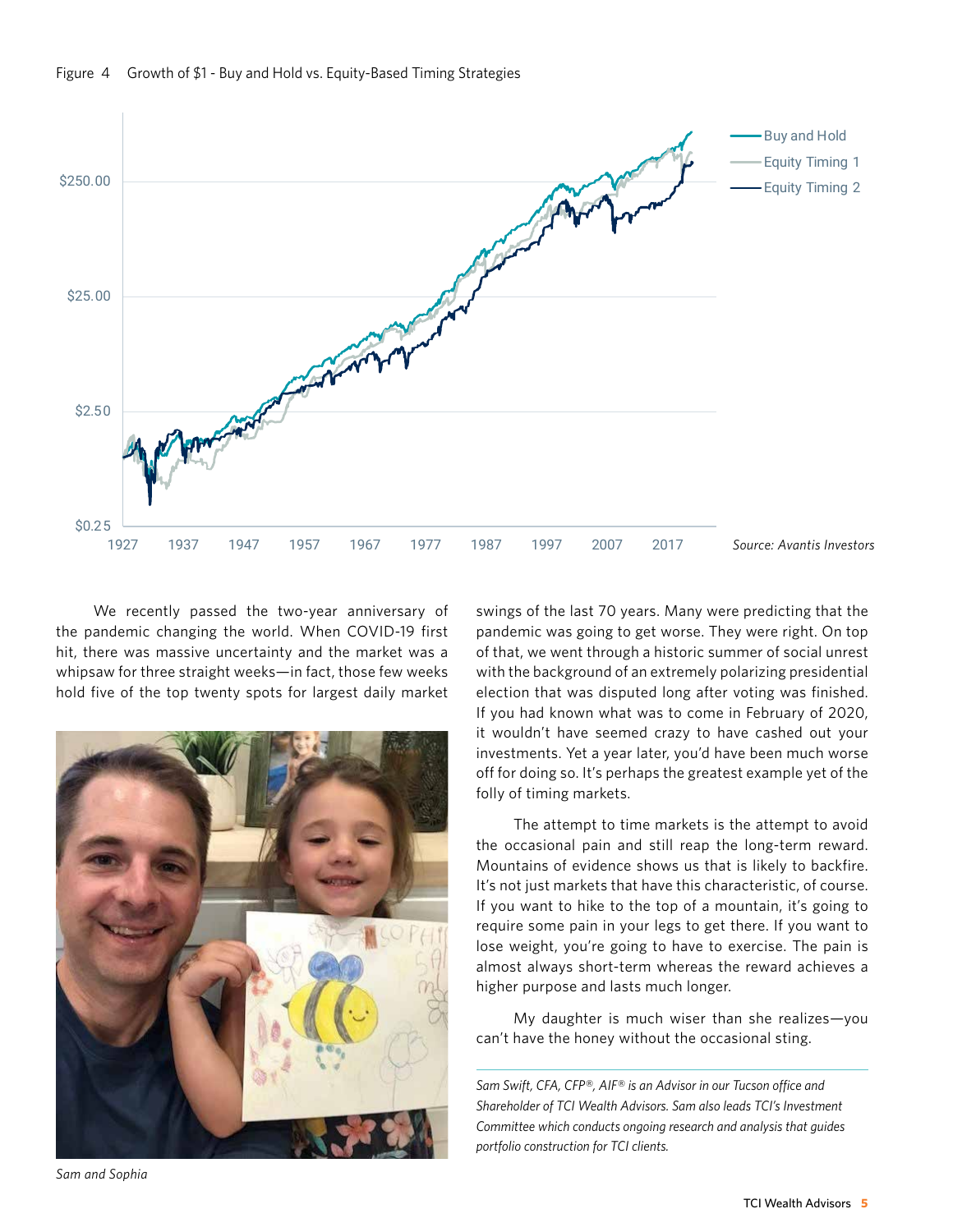



We recently passed the two-year anniversary of swingso the pandemic changing the world. When COVID-19 first hit, there was massive uncertainty and the market was a whipsaw for three straight weeks—in fact, those few weeks hold five of the top twenty spots for largest daily market We fecently passed the two-year anniversary of a swings of the last 70 yea



swings of the last 70 years. Many were predicting that the pandemic was going to get worse. They were right. On top of that, we went through a historic summer of social unrest with the background of an extremely polarizing presidential election that was disputed long after voting was finished. If you had known what was to come in February of 2020, it wouldn't have seemed crazy to have cashed out your investments. Yet a year later, you'd have been much worse off for doing so. It's perhaps the greatest example yet of the folly of timing markets.

The attempt to time markets is the attempt to avoid the occasional pain and still reap the long-term reward. Mountains of evidence shows us that is likely to backfire. It's not just markets that have this characteristic, of course. If you want to hike to the top of a mountain, it's going to require some pain in your legs to get there. If you want to lose weight, you're going to have to exercise. The pain is almost always short-term whereas the reward achieves a higher purpose and lasts much longer.

My daughter is much wiser than she realizes—you can't have the honey without the occasional sting.

*Sam Swift, CFA, CFP®, AIF® is an Advisor in our Tucson office and Shareholder of TCI Wealth Advisors. Sam also leads TCI's Investment Committee which conducts ongoing research and analysis that guides portfolio construction for TCI clients.*

*Sam and Sophia*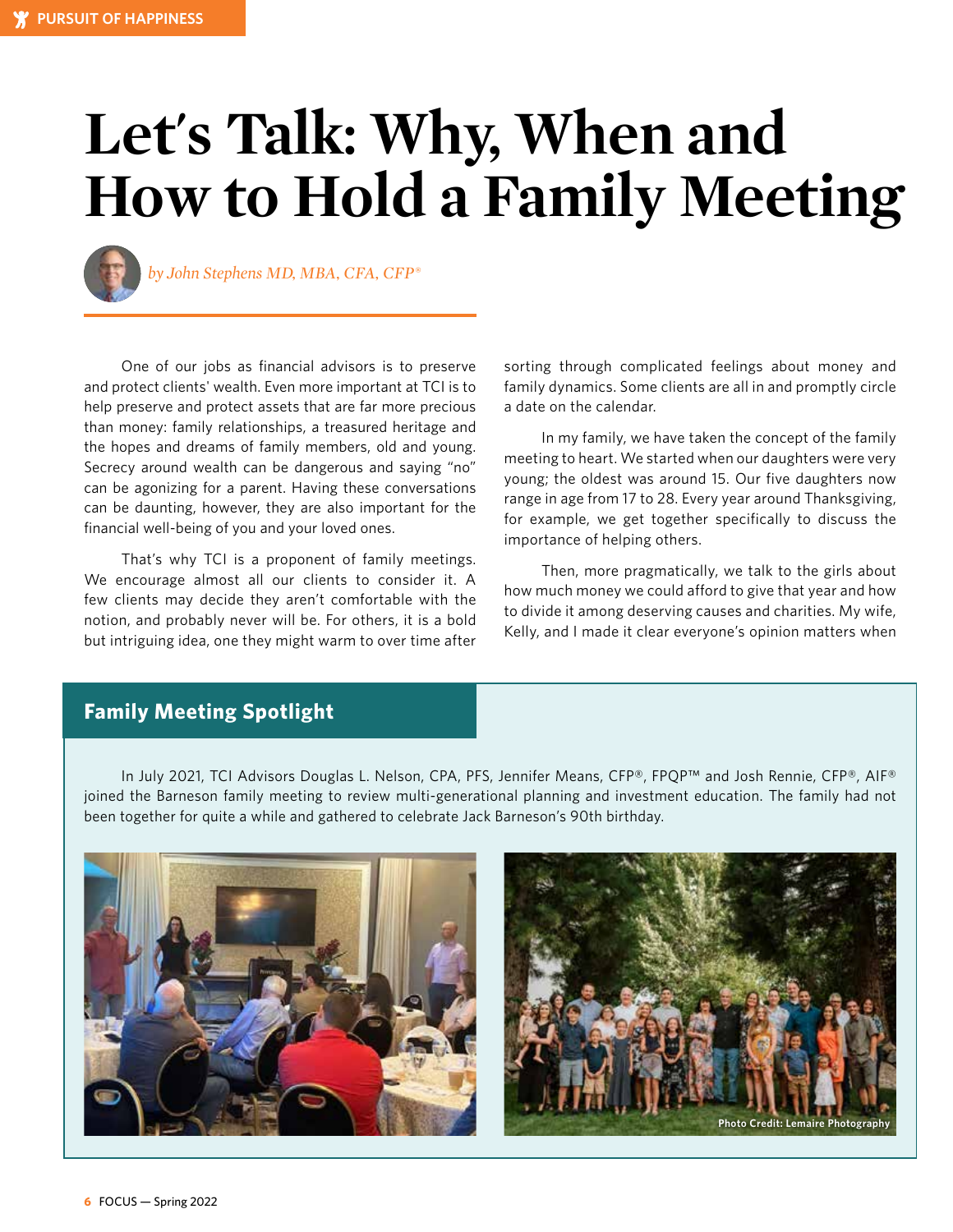## **Let's Talk: Why, When and How to Hold a Family Meeting**



*by John Stephens MD, MBA, CFA, CFP®*

One of our jobs as financial advisors is to preserve and protect clients' wealth. Even more important at TCI is to help preserve and protect assets that are far more precious than money: family relationships, a treasured heritage and the hopes and dreams of family members, old and young. Secrecy around wealth can be dangerous and saying "no" can be agonizing for a parent. Having these conversations can be daunting, however, they are also important for the financial well-being of you and your loved ones.

That's why TCI is a proponent of family meetings. We encourage almost all our clients to consider it. A few clients may decide they aren't comfortable with the notion, and probably never will be. For others, it is a bold but intriguing idea, one they might warm to over time after sorting through complicated feelings about money and family dynamics. Some clients are all in and promptly circle a date on the calendar.

In my family, we have taken the concept of the family meeting to heart. We started when our daughters were very young; the oldest was around 15. Our five daughters now range in age from 17 to 28. Every year around Thanksgiving, for example, we get together specifically to discuss the importance of helping others.

Then, more pragmatically, we talk to the girls about how much money we could afford to give that year and how to divide it among deserving causes and charities. My wife, Kelly, and I made it clear everyone's opinion matters when

#### **Family Meeting Spotlight**

In July 2021, TCI Advisors Douglas L. Nelson, CPA, PFS, Jennifer Means, CFP®, FPQP™ and Josh Rennie, CFP®, AIF® joined the Barneson family meeting to review multi-generational planning and investment education. The family had not been together for quite a while and gathered to celebrate Jack Barneson's 90th birthday.



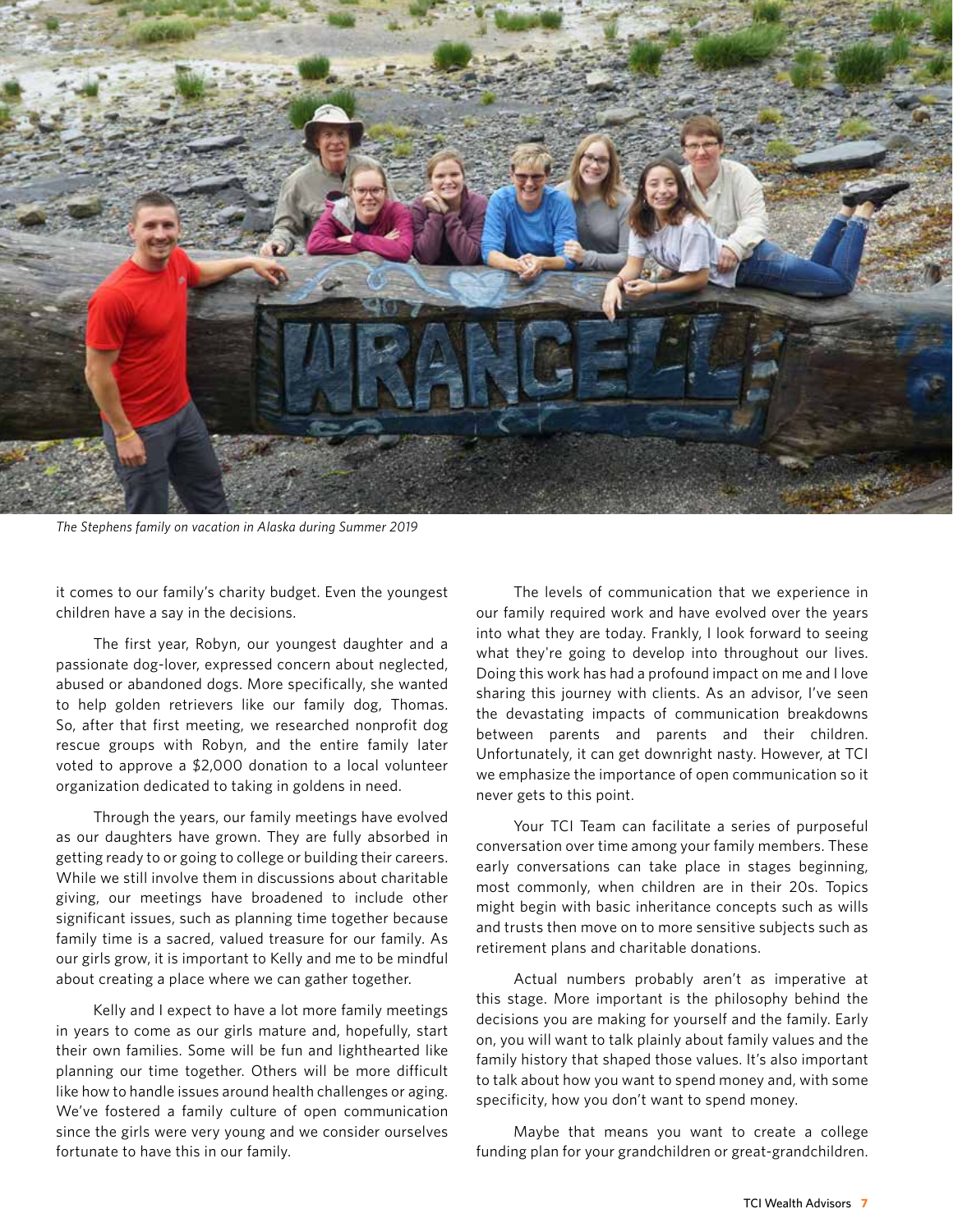

*The Stephens family on vacation in Alaska during Summer 2019*

it comes to our family's charity budget. Even the youngest children have a say in the decisions.

The first year, Robyn, our youngest daughter and a passionate dog-lover, expressed concern about neglected, abused or abandoned dogs. More specifically, she wanted to help golden retrievers like our family dog, Thomas. So, after that first meeting, we researched nonprofit dog rescue groups with Robyn, and the entire family later voted to approve a \$2,000 donation to a local volunteer organization dedicated to taking in goldens in need.

Through the years, our family meetings have evolved as our daughters have grown. They are fully absorbed in getting ready to or going to college or building their careers. While we still involve them in discussions about charitable giving, our meetings have broadened to include other significant issues, such as planning time together because family time is a sacred, valued treasure for our family. As our girls grow, it is important to Kelly and me to be mindful about creating a place where we can gather together.

Kelly and I expect to have a lot more family meetings in years to come as our girls mature and, hopefully, start their own families. Some will be fun and lighthearted like planning our time together. Others will be more difficult like how to handle issues around health challenges or aging. We've fostered a family culture of open communication since the girls were very young and we consider ourselves fortunate to have this in our family.

The levels of communication that we experience in our family required work and have evolved over the years into what they are today. Frankly, I look forward to seeing what they're going to develop into throughout our lives. Doing this work has had a profound impact on me and I love sharing this journey with clients. As an advisor, I've seen the devastating impacts of communication breakdowns between parents and parents and their children. Unfortunately, it can get downright nasty. However, at TCI we emphasize the importance of open communication so it never gets to this point.

Your TCI Team can facilitate a series of purposeful conversation over time among your family members. These early conversations can take place in stages beginning, most commonly, when children are in their 20s. Topics might begin with basic inheritance concepts such as wills and trusts then move on to more sensitive subjects such as retirement plans and charitable donations.

Actual numbers probably aren't as imperative at this stage. More important is the philosophy behind the decisions you are making for yourself and the family. Early on, you will want to talk plainly about family values and the family history that shaped those values. It's also important to talk about how you want to spend money and, with some specificity, how you don't want to spend money.

Maybe that means you want to create a college funding plan for your grandchildren or great-grandchildren.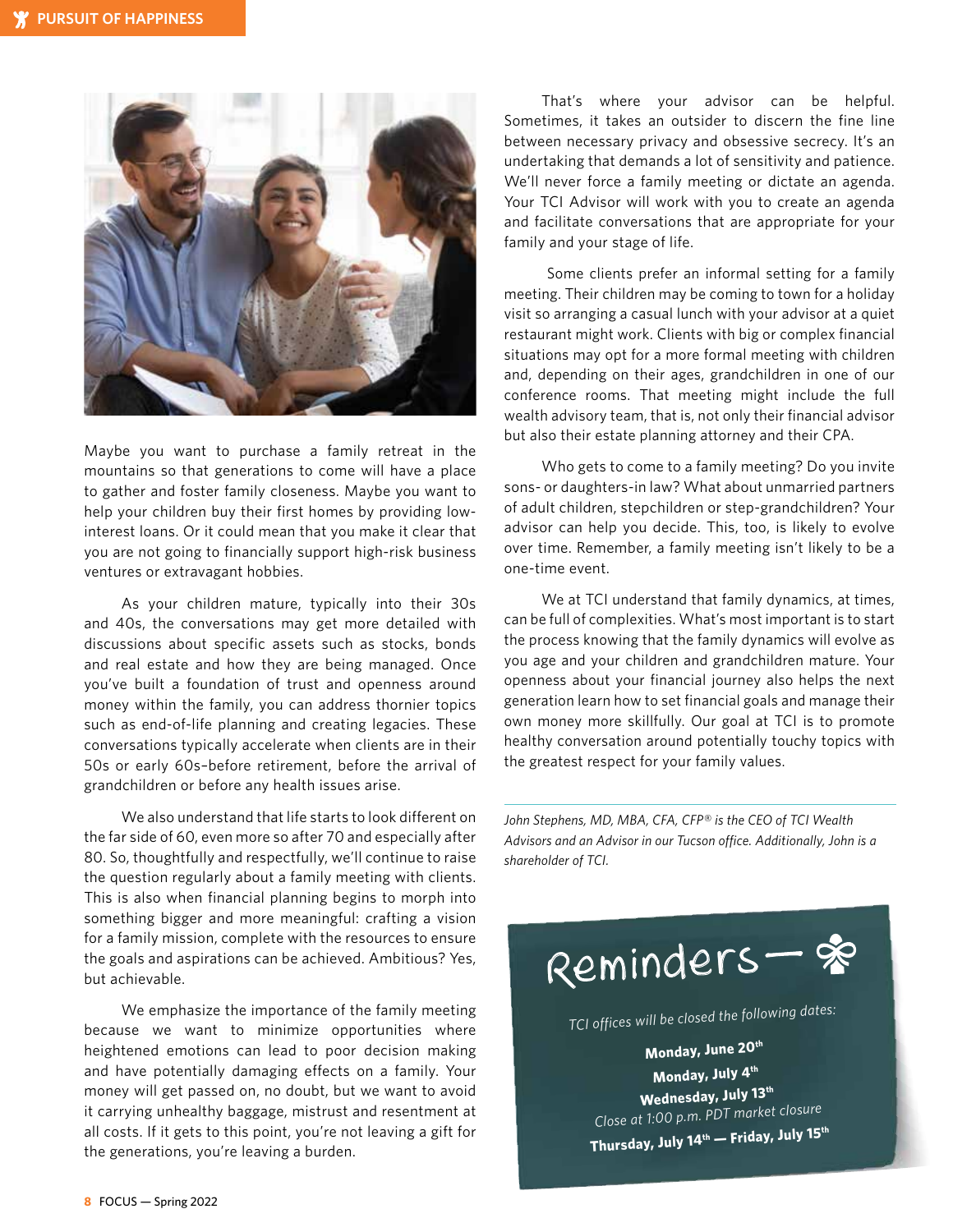

Maybe you want to purchase a family retreat in the mountains so that generations to come will have a place to gather and foster family closeness. Maybe you want to help your children buy their first homes by providing lowinterest loans. Or it could mean that you make it clear that you are not going to financially support high-risk business ventures or extravagant hobbies.

As your children mature, typically into their 30s and 40s, the conversations may get more detailed with discussions about specific assets such as stocks, bonds and real estate and how they are being managed. Once you've built a foundation of trust and openness around money within the family, you can address thornier topics such as end-of-life planning and creating legacies. These conversations typically accelerate when clients are in their 50s or early 60s–before retirement, before the arrival of grandchildren or before any health issues arise.

We also understand that life starts to look different on the far side of 60, even more so after 70 and especially after 80. So, thoughtfully and respectfully, we'll continue to raise the question regularly about a family meeting with clients. This is also when financial planning begins to morph into something bigger and more meaningful: crafting a vision for a family mission, complete with the resources to ensure the goals and aspirations can be achieved. Ambitious? Yes, but achievable.

We emphasize the importance of the family meeting because we want to minimize opportunities where heightened emotions can lead to poor decision making and have potentially damaging effects on a family. Your money will get passed on, no doubt, but we want to avoid it carrying unhealthy baggage, mistrust and resentment at all costs. If it gets to this point, you're not leaving a gift for the generations, you're leaving a burden.

That's where your advisor can be helpful. Sometimes, it takes an outsider to discern the fine line between necessary privacy and obsessive secrecy. It's an undertaking that demands a lot of sensitivity and patience. We'll never force a family meeting or dictate an agenda. Your TCI Advisor will work with you to create an agenda and facilitate conversations that are appropriate for your family and your stage of life.

 Some clients prefer an informal setting for a family meeting. Their children may be coming to town for a holiday visit so arranging a casual lunch with your advisor at a quiet restaurant might work. Clients with big or complex financial situations may opt for a more formal meeting with children and, depending on their ages, grandchildren in one of our conference rooms. That meeting might include the full wealth advisory team, that is, not only their financial advisor but also their estate planning attorney and their CPA.

Who gets to come to a family meeting? Do you invite sons- or daughters-in law? What about unmarried partners of adult children, stepchildren or step-grandchildren? Your advisor can help you decide. This, too, is likely to evolve over time. Remember, a family meeting isn't likely to be a one-time event.

We at TCI understand that family dynamics, at times, can be full of complexities. What's most important is to start the process knowing that the family dynamics will evolve as you age and your children and grandchildren mature. Your openness about your financial journey also helps the next generation learn how to set financial goals and manage their own money more skillfully. Our goal at TCI is to promote healthy conversation around potentially touchy topics with the greatest respect for your family values.

*John Stephens, MD, MBA, CFA, CFP® is the CEO of TCI Wealth Advisors and an Advisor in our Tucson office. Additionally, John is a shareholder of TCI.* 

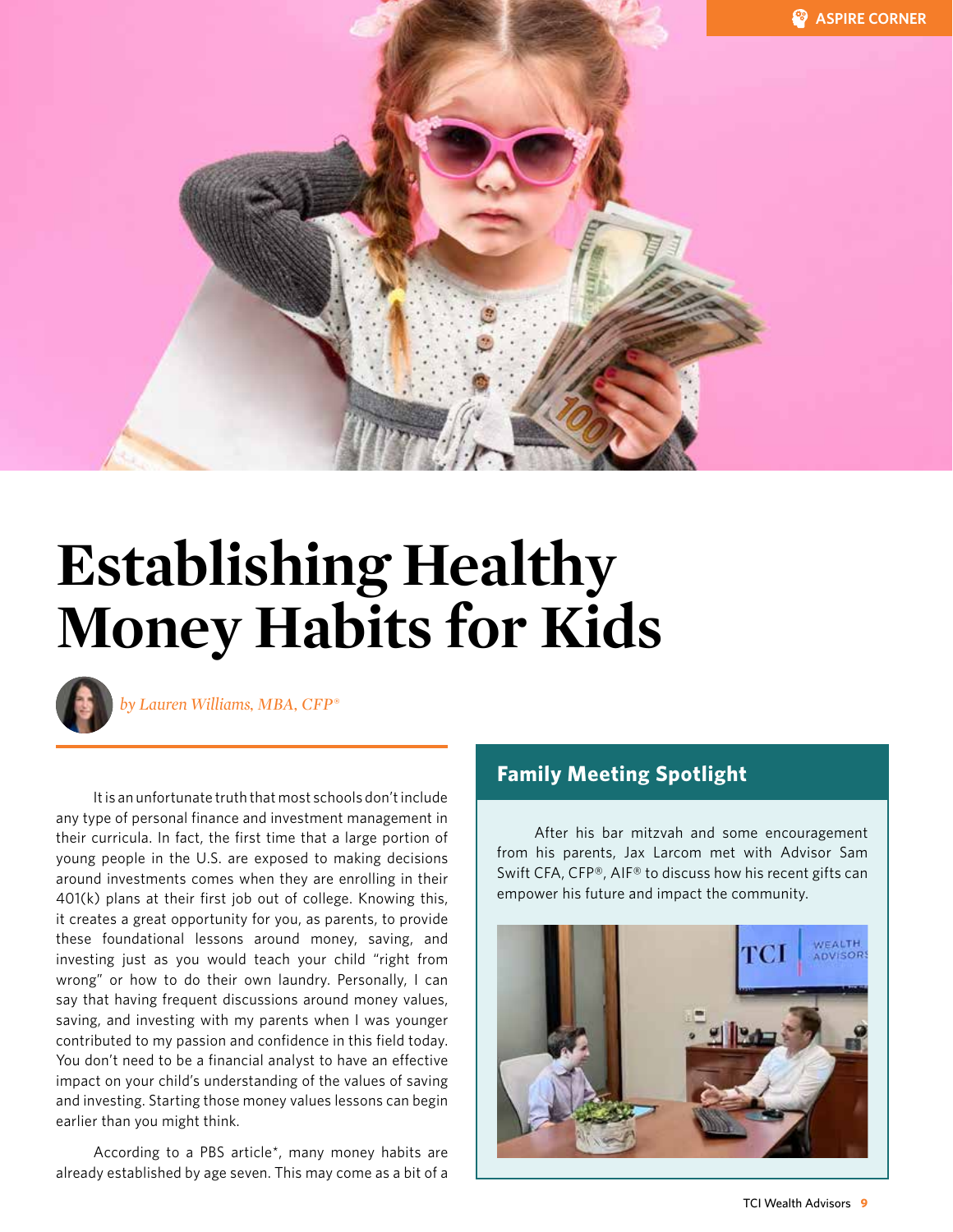

### **Establishing Healthy Money Habits for Kids**



*by Lauren Williams, MBA, CFP®*

It is an unfortunate truth that most schools don't include any type of personal finance and investment management in their curricula. In fact, the first time that a large portion of young people in the U.S. are exposed to making decisions around investments comes when they are enrolling in their 401(k) plans at their first job out of college. Knowing this, it creates a great opportunity for you, as parents, to provide these foundational lessons around money, saving, and investing just as you would teach your child "right from wrong" or how to do their own laundry. Personally, I can say that having frequent discussions around money values, saving, and investing with my parents when I was younger contributed to my passion and confidence in this field today. You don't need to be a financial analyst to have an effective impact on your child's understanding of the values of saving and investing. Starting those money values lessons can begin earlier than you might think.

According to a PBS article\*, many money habits are already established by age seven. This may come as a bit of a

#### **Family Meeting Spotlight**

After his bar mitzvah and some encouragement from his parents, Jax Larcom met with Advisor Sam Swift CFA, CFP®, AIF® to discuss how his recent gifts can empower his future and impact the community.

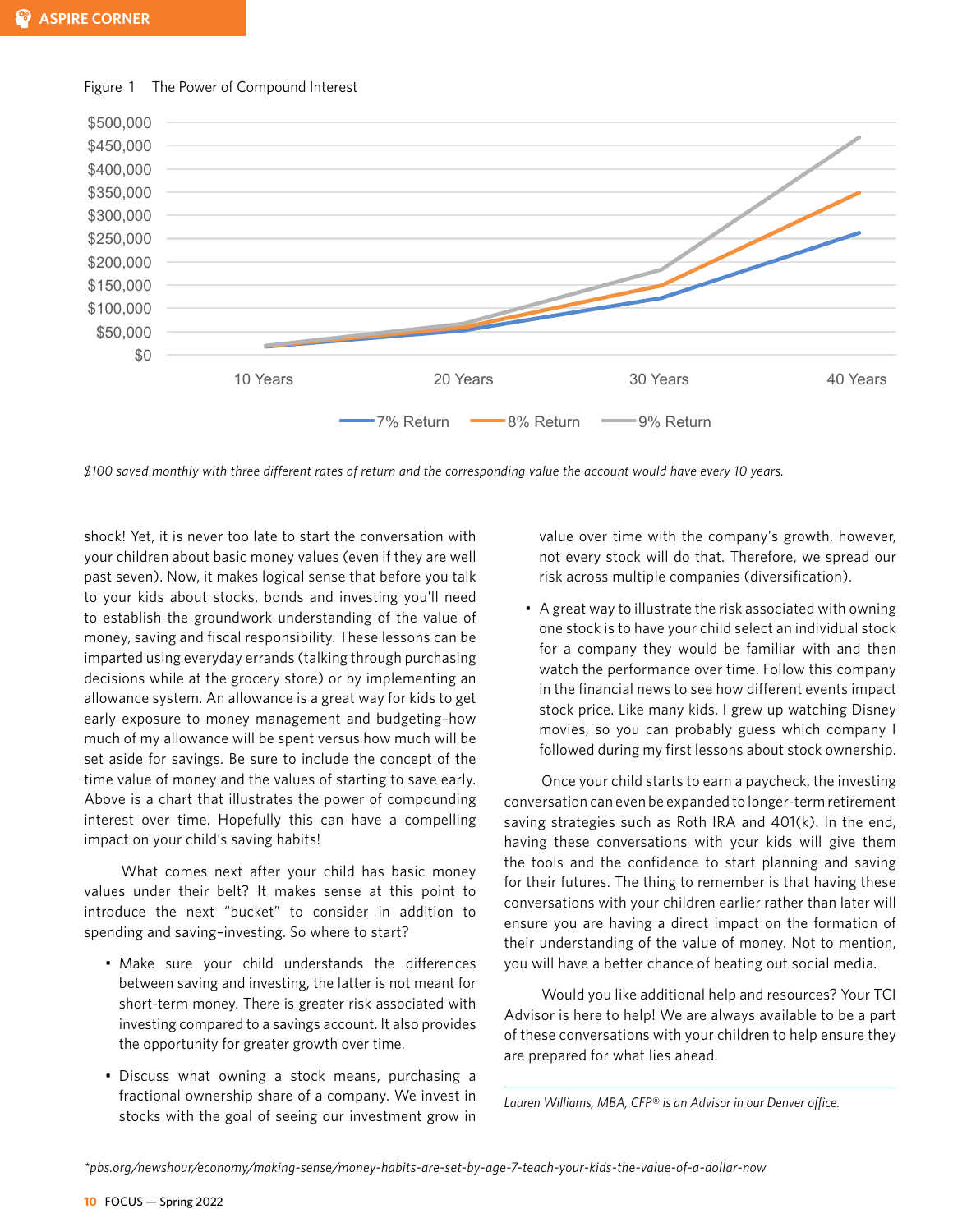

Figure 1 The Power of Compound Interest

*\$100 saved monthly with three different rates of return and the corresponding value the account would have every 10 years.*

shock! Yet, it is never too late to start the conversation with your children about basic money values (even if they are well past seven). Now, it makes logical sense that before you talk to your kids about stocks, bonds and investing you'll need to establish the groundwork understanding of the value of money, saving and fiscal responsibility. These lessons can be imparted using everyday errands (talking through purchasing decisions while at the grocery store) or by implementing an allowance system. An allowance is a great way for kids to get early exposure to money management and budgeting–how much of my allowance will be spent versus how much will be set aside for savings. Be sure to include the concept of the time value of money and the values of starting to save early. Above is a chart that illustrates the power of compounding interest over time. Hopefully this can have a compelling impact on your child's saving habits!

What comes next after your child has basic money values under their belt? It makes sense at this point to introduce the next "bucket" to consider in addition to spending and saving–investing. So where to start?

- Make sure your child understands the differences between saving and investing, the latter is not meant for short-term money. There is greater risk associated with investing compared to a savings account. It also provides the opportunity for greater growth over time.
- • Discuss what owning a stock means, purchasing a fractional ownership share of a company. We invest in stocks with the goal of seeing our investment grow in

value over time with the company's growth, however, not every stock will do that. Therefore, we spread our risk across multiple companies (diversification).

• A great way to illustrate the risk associated with owning one stock is to have your child select an individual stock for a company they would be familiar with and then watch the performance over time. Follow this company in the financial news to see how different events impact stock price. Like many kids, I grew up watching Disney movies, so you can probably guess which company I followed during my first lessons about stock ownership.

Once your child starts to earn a paycheck, the investing conversation can even be expanded to longer-term retirement saving strategies such as Roth IRA and 401(k). In the end, having these conversations with your kids will give them the tools and the confidence to start planning and saving for their futures. The thing to remember is that having these conversations with your children earlier rather than later will ensure you are having a direct impact on the formation of their understanding of the value of money. Not to mention, you will have a better chance of beating out social media.

Would you like additional help and resources? Your TCI Advisor is here to help! We are always available to be a part of these conversations with your children to help ensure they are prepared for what lies ahead.

*Lauren Williams, MBA, CFP® is an Advisor in our Denver office.*

*<sup>\*</sup>pbs.org/newshour/economy/making-sense/money-habits-are-set-by-age-7-teach-your-kids-the-value-of-a-dollar-now*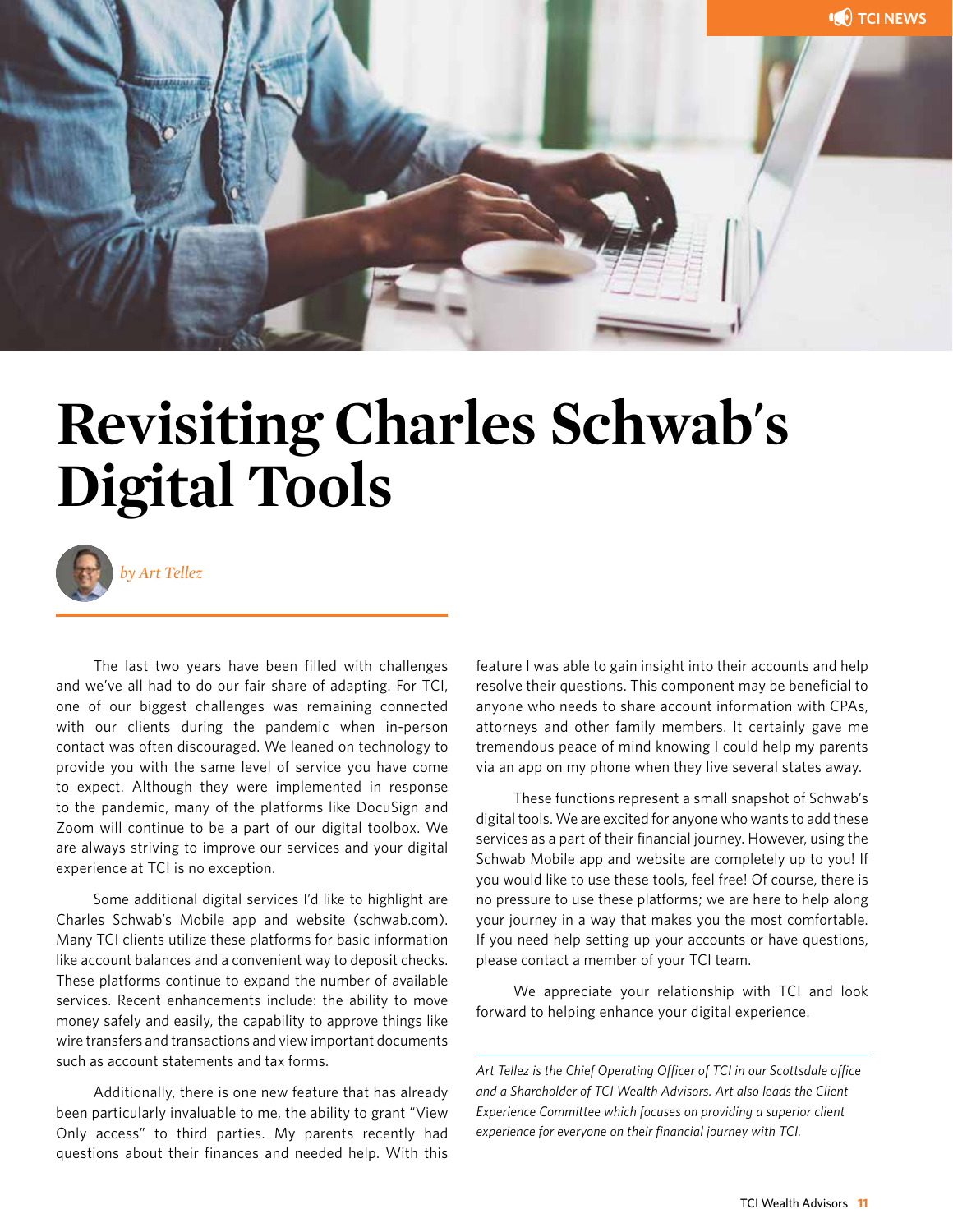

### **Revisiting Charles Schwab's Digital Tools**



*by Art Tellez*

The last two years have been filled with challenges and we've all had to do our fair share of adapting. For TCI, one of our biggest challenges was remaining connected with our clients during the pandemic when in-person contact was often discouraged. We leaned on technology to provide you with the same level of service you have come to expect. Although they were implemented in response to the pandemic, many of the platforms like DocuSign and Zoom will continue to be a part of our digital toolbox. We are always striving to improve our services and your digital experience at TCI is no exception.

Some additional digital services I'd like to highlight are Charles Schwab's Mobile app and website (schwab.com). Many TCI clients utilize these platforms for basic information like account balances and a convenient way to deposit checks. These platforms continue to expand the number of available services. Recent enhancements include: the ability to move money safely and easily, the capability to approve things like wire transfers and transactions and view important documents such as account statements and tax forms.

Additionally, there is one new feature that has already been particularly invaluable to me, the ability to grant "View Only access" to third parties. My parents recently had questions about their finances and needed help. With this

feature I was able to gain insight into their accounts and help resolve their questions. This component may be beneficial to anyone who needs to share account information with CPAs, attorneys and other family members. It certainly gave me tremendous peace of mind knowing I could help my parents via an app on my phone when they live several states away.

These functions represent a small snapshot of Schwab's digital tools. We are excited for anyone who wants to add these services as a part of their financial journey. However, using the Schwab Mobile app and website are completely up to you! If you would like to use these tools, feel free! Of course, there is no pressure to use these platforms; we are here to help along your journey in a way that makes you the most comfortable. If you need help setting up your accounts or have questions, please contact a member of your TCI team.

We appreciate your relationship with TCI and look forward to helping enhance your digital experience.

*Art Tellez is the Chief Operating Officer of TCI in our Scottsdale office and a Shareholder of TCI Wealth Advisors. Art also leads the Client Experience Committee which focuses on providing a superior client experience for everyone on their financial journey with TCI.*